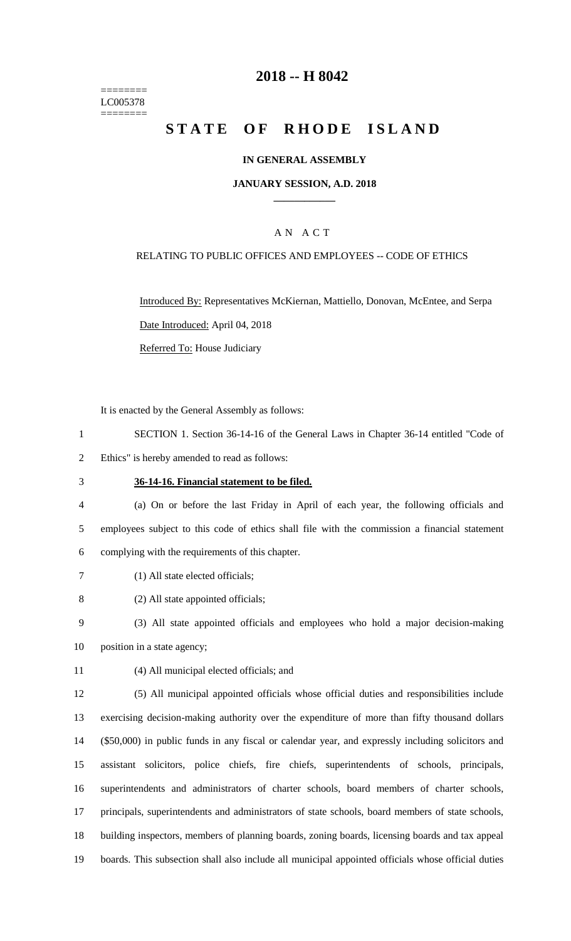======== LC005378 ========

## **2018 -- H 8042**

## **STATE OF RHODE ISLAND**

### **IN GENERAL ASSEMBLY**

### **JANUARY SESSION, A.D. 2018 \_\_\_\_\_\_\_\_\_\_\_\_**

## A N A C T

### RELATING TO PUBLIC OFFICES AND EMPLOYEES -- CODE OF ETHICS

Introduced By: Representatives McKiernan, Mattiello, Donovan, McEntee, and Serpa Date Introduced: April 04, 2018

Referred To: House Judiciary

It is enacted by the General Assembly as follows:

- 1 SECTION 1. Section 36-14-16 of the General Laws in Chapter 36-14 entitled "Code of 2 Ethics" is hereby amended to read as follows:
- 

### 3 **36-14-16. Financial statement to be filed.**

- 4 (a) On or before the last Friday in April of each year, the following officials and 5 employees subject to this code of ethics shall file with the commission a financial statement 6 complying with the requirements of this chapter.
- 7 (1) All state elected officials;
- 8 (2) All state appointed officials;

# 9 (3) All state appointed officials and employees who hold a major decision-making

10 position in a state agency;

11 (4) All municipal elected officials; and

 (5) All municipal appointed officials whose official duties and responsibilities include exercising decision-making authority over the expenditure of more than fifty thousand dollars (\$50,000) in public funds in any fiscal or calendar year, and expressly including solicitors and assistant solicitors, police chiefs, fire chiefs, superintendents of schools, principals, superintendents and administrators of charter schools, board members of charter schools, principals, superintendents and administrators of state schools, board members of state schools, building inspectors, members of planning boards, zoning boards, licensing boards and tax appeal boards. This subsection shall also include all municipal appointed officials whose official duties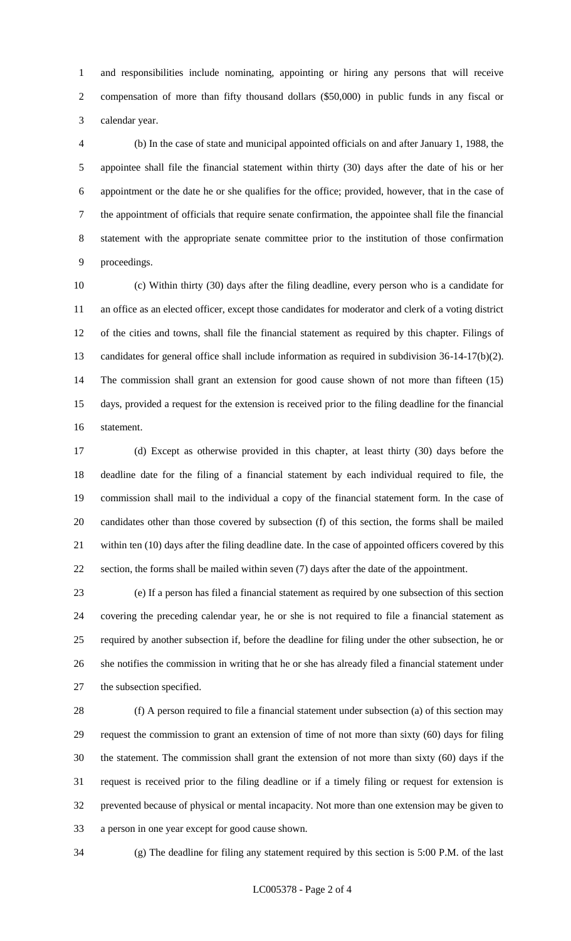and responsibilities include nominating, appointing or hiring any persons that will receive compensation of more than fifty thousand dollars (\$50,000) in public funds in any fiscal or calendar year.

 (b) In the case of state and municipal appointed officials on and after January 1, 1988, the appointee shall file the financial statement within thirty (30) days after the date of his or her appointment or the date he or she qualifies for the office; provided, however, that in the case of the appointment of officials that require senate confirmation, the appointee shall file the financial statement with the appropriate senate committee prior to the institution of those confirmation proceedings.

 (c) Within thirty (30) days after the filing deadline, every person who is a candidate for an office as an elected officer, except those candidates for moderator and clerk of a voting district of the cities and towns, shall file the financial statement as required by this chapter. Filings of candidates for general office shall include information as required in subdivision 36-14-17(b)(2). The commission shall grant an extension for good cause shown of not more than fifteen (15) days, provided a request for the extension is received prior to the filing deadline for the financial statement.

 (d) Except as otherwise provided in this chapter, at least thirty (30) days before the deadline date for the filing of a financial statement by each individual required to file, the commission shall mail to the individual a copy of the financial statement form. In the case of candidates other than those covered by subsection (f) of this section, the forms shall be mailed 21 within ten (10) days after the filing deadline date. In the case of appointed officers covered by this section, the forms shall be mailed within seven (7) days after the date of the appointment.

 (e) If a person has filed a financial statement as required by one subsection of this section covering the preceding calendar year, he or she is not required to file a financial statement as required by another subsection if, before the deadline for filing under the other subsection, he or she notifies the commission in writing that he or she has already filed a financial statement under the subsection specified.

 (f) A person required to file a financial statement under subsection (a) of this section may request the commission to grant an extension of time of not more than sixty (60) days for filing the statement. The commission shall grant the extension of not more than sixty (60) days if the request is received prior to the filing deadline or if a timely filing or request for extension is prevented because of physical or mental incapacity. Not more than one extension may be given to a person in one year except for good cause shown.

(g) The deadline for filing any statement required by this section is 5:00 P.M. of the last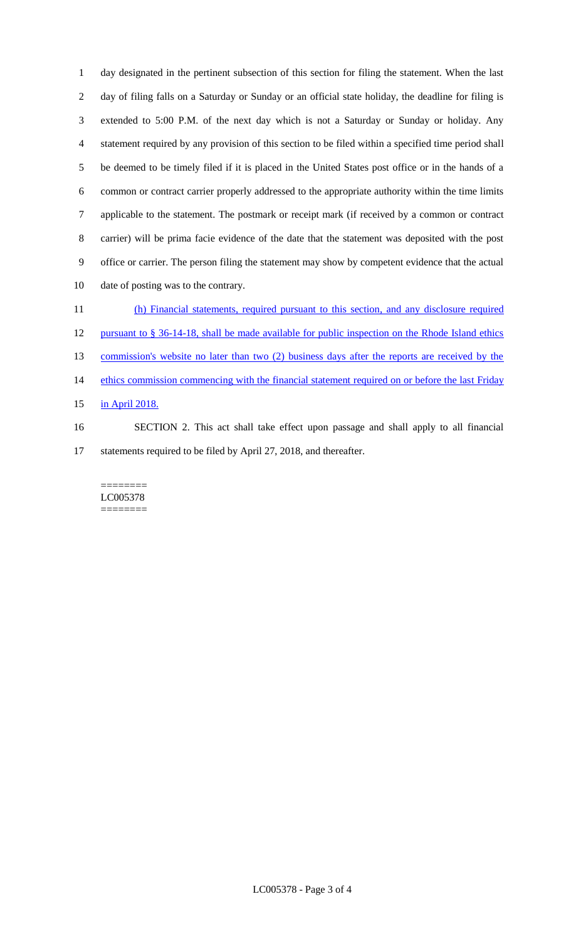day designated in the pertinent subsection of this section for filing the statement. When the last day of filing falls on a Saturday or Sunday or an official state holiday, the deadline for filing is extended to 5:00 P.M. of the next day which is not a Saturday or Sunday or holiday. Any statement required by any provision of this section to be filed within a specified time period shall be deemed to be timely filed if it is placed in the United States post office or in the hands of a common or contract carrier properly addressed to the appropriate authority within the time limits applicable to the statement. The postmark or receipt mark (if received by a common or contract carrier) will be prima facie evidence of the date that the statement was deposited with the post office or carrier. The person filing the statement may show by competent evidence that the actual date of posting was to the contrary.

 (h) Financial statements, required pursuant to this section, and any disclosure required pursuant to § 36-14-18, shall be made available for public inspection on the Rhode Island ethics 13 commission's website no later than two (2) business days after the reports are received by the 14 ethics commission commencing with the financial statement required on or before the last Friday in April 2018. SECTION 2. This act shall take effect upon passage and shall apply to all financial

statements required to be filed by April 27, 2018, and thereafter.

#### ======== LC005378 ========